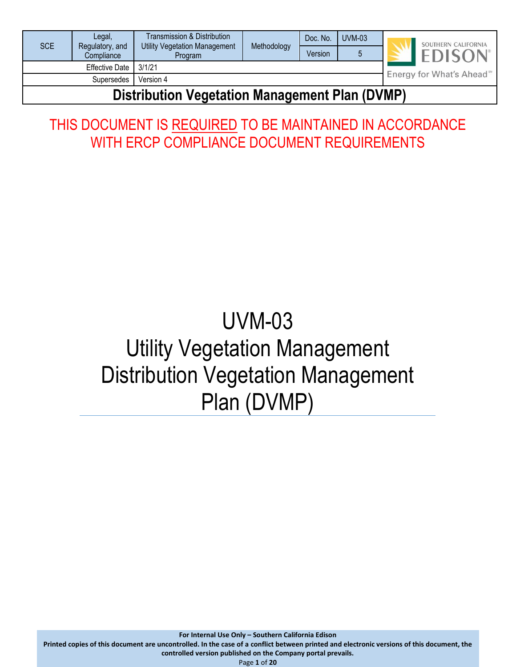| <b>SCE</b>                                            | Legal,                        | Transmission & Distribution<br><b>Utility Vegetation Management</b> | Methodology |         |  | Doc. No. | <b>UVM-03</b>                         |  | SOUTHERN CALIFORNIA |
|-------------------------------------------------------|-------------------------------|---------------------------------------------------------------------|-------------|---------|--|----------|---------------------------------------|--|---------------------|
|                                                       | Regulatory, and<br>Compliance | <b>Program</b>                                                      |             | Version |  |          | <b>EDISON</b>                         |  |                     |
|                                                       | Effective Date I              | 3/1/21                                                              |             |         |  |          |                                       |  |                     |
|                                                       | Supersedes                    | Version 4                                                           |             |         |  |          | Energy for What's Ahead <sup>5M</sup> |  |                     |
| Distribution <i>Venstelian Management</i> Dlan (DVMD) |                               |                                                                     |             |         |  |          |                                       |  |                     |

## **Distribution Vegetation Management Plan (DVMP)**

# THIS DOCUMENT IS REQUIRED TO BE MAINTAINED IN ACCORDANCE WITH ERCP COMPLIANCE DOCUMENT REQUIREMENTS

# UVM-03 Utility Vegetation Management Distribution Vegetation Management Plan (DVMP)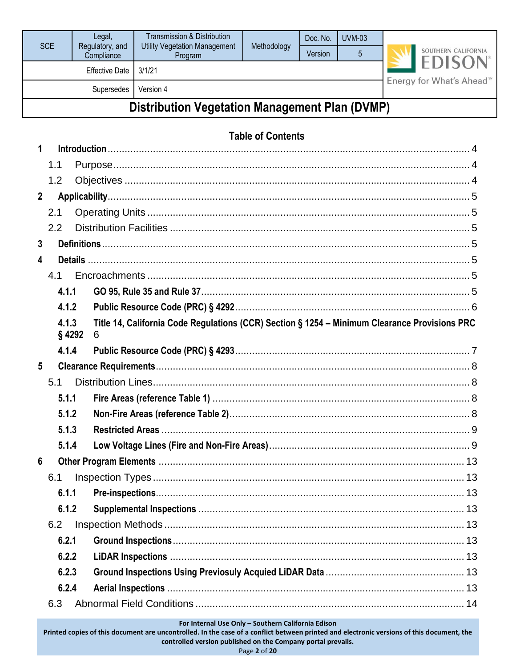| Compliance<br><b>Effective Date</b> | Program                                               | Version | 5                        | SOUTHERN CALIFORNIA                                                                           |
|-------------------------------------|-------------------------------------------------------|---------|--------------------------|-----------------------------------------------------------------------------------------------|
|                                     | 3/1/21                                                |         |                          | <b>EDISO</b>                                                                                  |
| Supersedes                          | Version 4                                             |         |                          | Energy for What's Ahead <sup>®</sup>                                                          |
|                                     | <b>Distribution Vegetation Management Plan (DVMP)</b> |         |                          |                                                                                               |
|                                     |                                                       |         |                          |                                                                                               |
|                                     |                                                       |         |                          |                                                                                               |
|                                     |                                                       |         |                          |                                                                                               |
|                                     |                                                       |         |                          |                                                                                               |
|                                     |                                                       |         |                          |                                                                                               |
|                                     |                                                       |         |                          |                                                                                               |
|                                     |                                                       |         |                          |                                                                                               |
|                                     |                                                       |         |                          |                                                                                               |
|                                     |                                                       |         |                          |                                                                                               |
|                                     |                                                       |         |                          |                                                                                               |
|                                     |                                                       |         |                          |                                                                                               |
| 4.1.2                               |                                                       |         |                          |                                                                                               |
| 4.1.3<br>$§$ 4292<br>6              |                                                       |         |                          |                                                                                               |
| 4.1.4                               |                                                       |         |                          |                                                                                               |
|                                     |                                                       |         |                          |                                                                                               |
|                                     |                                                       |         |                          |                                                                                               |
| 5.1.1                               |                                                       |         |                          |                                                                                               |
| 5.1.2                               |                                                       |         |                          |                                                                                               |
| 5.1.3                               |                                                       |         |                          |                                                                                               |
| 5.1.4                               |                                                       |         |                          |                                                                                               |
|                                     |                                                       |         |                          |                                                                                               |
|                                     |                                                       |         |                          |                                                                                               |
| 6.1.1                               |                                                       |         |                          |                                                                                               |
| 6.1.2                               |                                                       |         |                          |                                                                                               |
|                                     |                                                       |         |                          |                                                                                               |
| 6.2.1                               |                                                       |         |                          |                                                                                               |
| 6.2.2                               |                                                       |         |                          |                                                                                               |
| 6.2.3                               |                                                       |         |                          |                                                                                               |
| 6.2.4                               |                                                       |         |                          |                                                                                               |
|                                     |                                                       |         |                          |                                                                                               |
| 4.1.1                               |                                                       |         | <b>Table of Contents</b> | Title 14, California Code Regulations (CCR) Section § 1254 - Minimum Clearance Provisions PRC |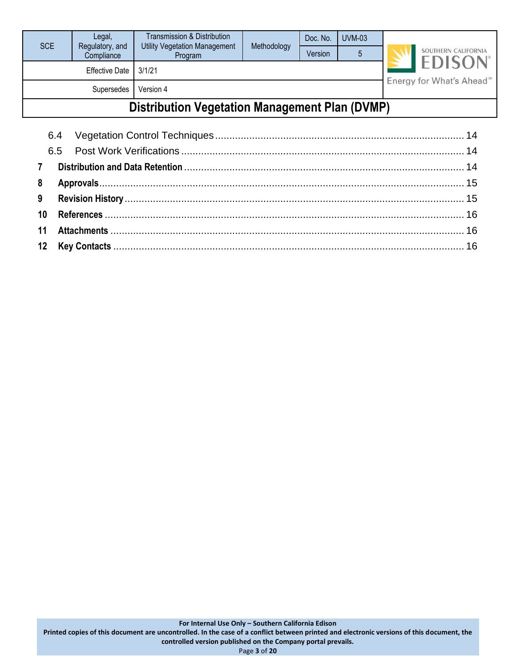| SCE                                                   | Legal,                        | Transmission & Distribution<br><b>Utility Vegetation Management</b> | Methodology                          | Doc. No. | $UVM-03$ |  |                                                   |  |  |  |
|-------------------------------------------------------|-------------------------------|---------------------------------------------------------------------|--------------------------------------|----------|----------|--|---------------------------------------------------|--|--|--|
|                                                       | Regulatory, and<br>Compliance | Program                                                             |                                      | Version  | 5        |  | SOUTHERN CALIFORNIA<br><b>EDISON</b> <sup>®</sup> |  |  |  |
|                                                       | <b>Effective Date</b>         | 3/1/21                                                              | Energy for What's Ahead <sup>™</sup> |          |          |  |                                                   |  |  |  |
|                                                       | Supersedes                    | Version 4                                                           |                                      |          |          |  |                                                   |  |  |  |
| <b>Distribution Vegetation Management Plan (DVMP)</b> |                               |                                                                     |                                      |          |          |  |                                                   |  |  |  |
|                                                       |                               |                                                                     |                                      |          |          |  |                                                   |  |  |  |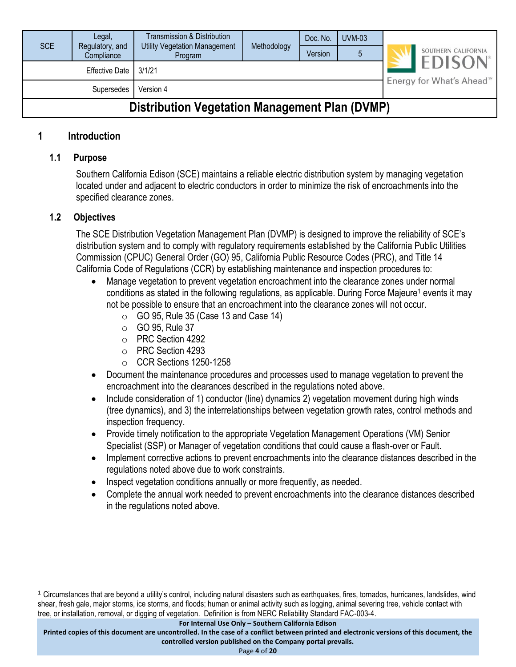| <b>SCE</b>                                            | Legal,<br>Regulatory, and<br>Compliance | Transmission & Distribution<br><b>Utility Vegetation Management</b><br>Program | Methodology | Doc. No.<br>Version | $UVM-03$ |  | SOUTHERN CALIFORNIA                  |  |  |
|-------------------------------------------------------|-----------------------------------------|--------------------------------------------------------------------------------|-------------|---------------------|----------|--|--------------------------------------|--|--|
|                                                       | <b>Effective Date</b>                   | 3/1/21                                                                         |             |                     |          |  | <b>EDISON</b>                        |  |  |
|                                                       | Supersedes                              | Version 4                                                                      |             |                     |          |  | Energy for What's Ahead <sup>™</sup> |  |  |
| <b>Distribution Vegetation Management Plan (DVMP)</b> |                                         |                                                                                |             |                     |          |  |                                      |  |  |

#### <span id="page-3-1"></span><span id="page-3-0"></span>**1 Introduction**

#### **1.1 Purpose**

Southern California Edison (SCE) maintains a reliable electric distribution system by managing vegetation located under and adjacent to electric conductors in order to minimize the risk of encroachments into the specified clearance zones.

#### <span id="page-3-2"></span>**1.2 Objectives**

The SCE Distribution Vegetation Management Plan (DVMP) is designed to improve the reliability of SCE's distribution system and to comply with regulatory requirements established by the California Public Utilities Commission (CPUC) General Order (GO) 95, California Public Resource Codes (PRC), and Title 14 California Code of Regulations (CCR) by establishing maintenance and inspection procedures to:

- Manage vegetation to prevent vegetation encroachment into the clearance zones under normal conditions as stated in the following regulations, as applicable. During Force Majeure<sup>1</sup> events it may not be possible to ensure that an encroachment into the clearance zones will not occur.
	- $\circ$  GO 95, Rule 35 (Case 13 and Case 14)
	- $\circ$  GO 95, Rule 37
	- o PRC Section 4292
	- o PRC Section 4293
	- o CCR Sections 1250-1258
- Document the maintenance procedures and processes used to manage vegetation to prevent the encroachment into the clearances described in the regulations noted above.
- Include consideration of 1) conductor (line) dynamics 2) vegetation movement during high winds (tree dynamics), and 3) the interrelationships between vegetation growth rates, control methods and inspection frequency.
- Provide timely notification to the appropriate Vegetation Management Operations (VM) Senior Specialist (SSP) or Manager of vegetation conditions that could cause a flash-over or Fault.
- Implement corrective actions to prevent encroachments into the clearance distances described in the regulations noted above due to work constraints.
- Inspect vegetation conditions annually or more frequently, as needed.
- Complete the annual work needed to prevent encroachments into the clearance distances described in the regulations noted above.

**For Internal Use Only – Southern California Edison**

<sup>1</sup> Circumstances that are beyond a utility's control, including natural disasters such as earthquakes, fires, tornados, hurricanes, landslides, wind shear, fresh gale, major storms, ice storms, and floods; human or animal activity such as logging, animal severing tree, vehicle contact with tree, or installation, removal, or digging of vegetation. Definition is from NERC Reliability Standard FAC-003-4.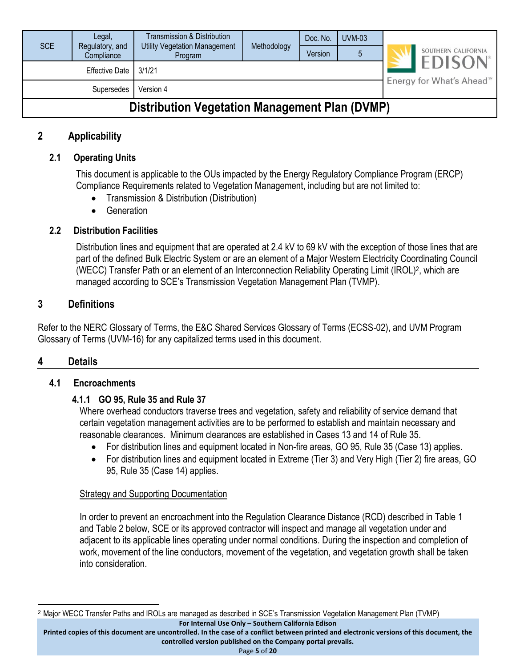| <b>SCE</b>                                            | Legal,<br>Regulatory, and<br>Compliance | Transmission & Distribution<br><b>Utility Vegetation Management</b><br>Program | Methodology | Doc. No.<br>Version | $UVM-03$ |  | SOUTHERN CALIFORNIA                  |  |  |
|-------------------------------------------------------|-----------------------------------------|--------------------------------------------------------------------------------|-------------|---------------------|----------|--|--------------------------------------|--|--|
|                                                       | <b>Effective Date</b>                   | 3/1/21                                                                         |             |                     |          |  | <b>EDISON</b>                        |  |  |
| Version 4<br>Supersedes                               |                                         |                                                                                |             |                     |          |  | Energy for What's Ahead <sup>™</sup> |  |  |
| <b>Distribution Vegetation Management Plan (DVMP)</b> |                                         |                                                                                |             |                     |          |  |                                      |  |  |

#### <span id="page-4-1"></span><span id="page-4-0"></span>**2 Applicability**

#### **2.1 Operating Units**

This document is applicable to the OUs impacted by the Energy Regulatory Compliance Program (ERCP) Compliance Requirements related to Vegetation Management, including but are not limited to:

- Transmission & Distribution (Distribution)
- Generation

#### <span id="page-4-2"></span>**2.2 Distribution Facilities**

Distribution lines and equipment that are operated at 2.4 kV to 69 kV with the exception of those lines that are part of the defined Bulk Electric System or are an element of a Major Western Electricity Coordinating Council (WECC) Transfer Path or an element of an Interconnection Reliability Operating Limit (IROL)<sup>2</sup> , which are managed according to SCE's Transmission Vegetation Management Plan (TVMP).

#### <span id="page-4-3"></span>**3 Definitions**

Refer to the NERC Glossary of Terms, the E&C Shared Services Glossary of Terms (ECSS-02), and UVM Program Glossary of Terms (UVM-16) for any capitalized terms used in this document.

#### <span id="page-4-5"></span><span id="page-4-4"></span>**4 Details**

#### <span id="page-4-6"></span>**4.1 Encroachments**

#### **4.1.1 GO 95, Rule 35 and Rule 37**

Where overhead conductors traverse trees and vegetation, safety and reliability of service demand that certain vegetation management activities are to be performed to establish and maintain necessary and reasonable clearances. Minimum clearances are established in Cases 13 and 14 of Rule 35.

- For distribution lines and equipment located in Non-fire areas, GO 95, Rule 35 (Case 13) applies.
- For distribution lines and equipment located in Extreme (Tier 3) and Very High (Tier 2) fire areas, GO 95, Rule 35 (Case 14) applies.

#### Strategy and Supporting Documentation

In order to prevent an encroachment into the Regulation Clearance Distance (RCD) described in Table 1 and Table 2 below, SCE or its approved contractor will inspect and manage all vegetation under and adjacent to its applicable lines operating under normal conditions. During the inspection and completion of work, movement of the line conductors, movement of the vegetation, and vegetation growth shall be taken into consideration.

**For Internal Use Only – Southern California Edison** <sup>2</sup> Major WECC Transfer Paths and IROLs are managed as described in SCE's Transmission Vegetation Management Plan (TVMP)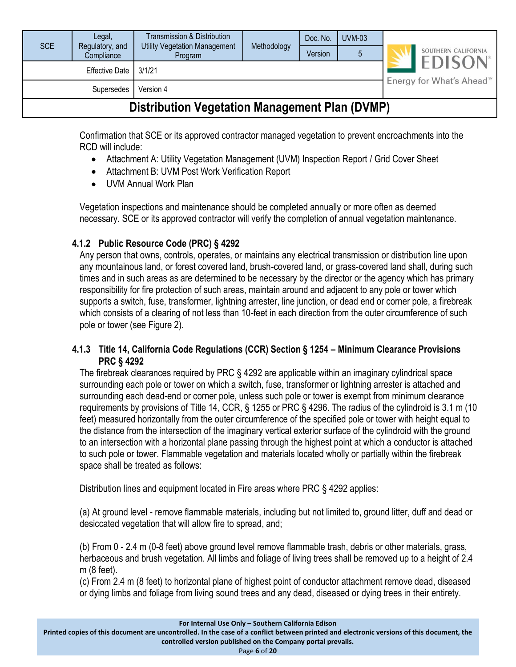| <b>SCE</b>                                            | Legal,<br>Regulatory, and<br>Compliance | Transmission & Distribution<br><b>Utility Vegetation Management</b><br>Program | Methodology | Doc. No.<br>Version | $UVM-03$ |  | SOUTHERN CALIFORNIA                   |  |
|-------------------------------------------------------|-----------------------------------------|--------------------------------------------------------------------------------|-------------|---------------------|----------|--|---------------------------------------|--|
|                                                       | Effective Date                          | 3/1/21                                                                         |             |                     |          |  | <b>EDISON</b> <sup>®</sup>            |  |
| Version 4<br>Supersedes                               |                                         |                                                                                |             |                     |          |  | Energy for What's Ahead <sup>5M</sup> |  |
| <b>Distribution Vegetation Management Plan (DVMP)</b> |                                         |                                                                                |             |                     |          |  |                                       |  |

Confirmation that SCE or its approved contractor managed vegetation to prevent encroachments into the RCD will include:

- Attachment A: Utility Vegetation Management (UVM) Inspection Report / Grid Cover Sheet
- Attachment B: UVM Post Work Verification Report
- UVM Annual Work Plan

Vegetation inspections and maintenance should be completed annually or more often as deemed necessary. SCE or its approved contractor will verify the completion of annual vegetation maintenance.

#### <span id="page-5-0"></span>**4.1.2 Public Resource Code (PRC) § 4292**

Any person that owns, controls, operates, or maintains any electrical transmission or distribution line upon any mountainous land, or forest covered land, brush-covered land, or grass-covered land shall, during such times and in such areas as are determined to be necessary by the director or the agency which has primary responsibility for fire protection of such areas, maintain around and adjacent to any pole or tower which supports a switch, fuse, transformer, lightning arrester, line junction, or dead end or corner pole, a firebreak which consists of a clearing of not less than 10-feet in each direction from the outer circumference of such pole or tower (see Figure 2).

#### <span id="page-5-1"></span>**4.1.3 Title 14, California Code Regulations (CCR) Section § 1254 – Minimum Clearance Provisions PRC § 4292**

The firebreak clearances required by PRC § 4292 are applicable within an imaginary cylindrical space surrounding each pole or tower on which a switch, fuse, transformer or lightning arrester is attached and surrounding each dead-end or corner pole, unless such pole or tower is exempt from minimum clearance requirements by provisions of Title 14, CCR, § 1255 or PRC § 4296. The radius of the cylindroid is 3.1 m (10 feet) measured horizontally from the outer circumference of the specified pole or tower with height equal to the distance from the intersection of the imaginary vertical exterior surface of the cylindroid with the ground to an intersection with a horizontal plane passing through the highest point at which a conductor is attached to such pole or tower. Flammable vegetation and materials located wholly or partially within the firebreak space shall be treated as follows:

Distribution lines and equipment located in Fire areas where PRC § 4292 applies:

(a) At ground level - remove flammable materials, including but not limited to, ground litter, duff and dead or desiccated vegetation that will allow fire to spread, and;

(b) From 0 - 2.4 m (0-8 feet) above ground level remove flammable trash, debris or other materials, grass, herbaceous and brush vegetation. All limbs and foliage of living trees shall be removed up to a height of 2.4 m (8 feet).

(c) From 2.4 m (8 feet) to horizontal plane of highest point of conductor attachment remove dead, diseased or dying limbs and foliage from living sound trees and any dead, diseased or dying trees in their entirety.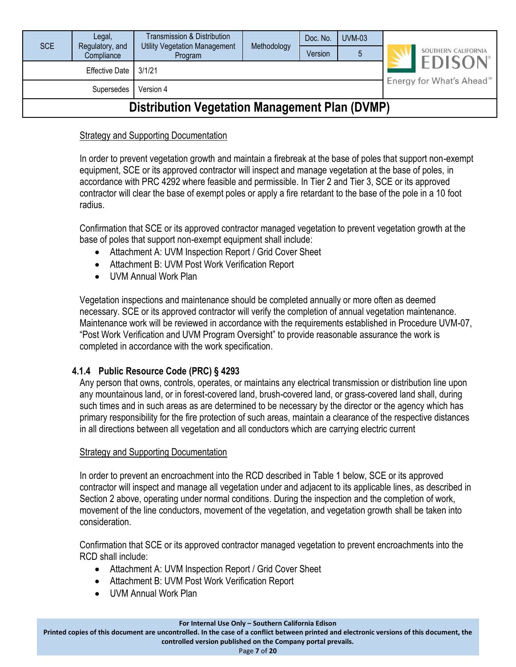| <b>SCE</b>                                            | Legal,<br>Regulatory, and | Transmission & Distribution<br><b>Utility Vegetation Management</b> | Methodology | Doc. No. | <b>UVM-03</b> |  | SOUTHERN CALIFORNIA                    |  |
|-------------------------------------------------------|---------------------------|---------------------------------------------------------------------|-------------|----------|---------------|--|----------------------------------------|--|
|                                                       | Compliance                | Program                                                             |             | Version  |               |  |                                        |  |
|                                                       | <b>Effective Date</b>     | 3/1/21                                                              |             |          |               |  | <b>EDISON</b> <sup>®</sup>             |  |
|                                                       | Supersedes                | Version 4                                                           |             |          |               |  | Energy for What's Ahead <sup>500</sup> |  |
| <b>Distribution Vegetation Management Plan (DVMP)</b> |                           |                                                                     |             |          |               |  |                                        |  |

#### Strategy and Supporting Documentation

In order to prevent vegetation growth and maintain a firebreak at the base of poles that support non-exempt equipment, SCE or its approved contractor will inspect and manage vegetation at the base of poles, in accordance with PRC 4292 where feasible and permissible. In Tier 2 and Tier 3, SCE or its approved contractor will clear the base of exempt poles or apply a fire retardant to the base of the pole in a 10 foot radius.

Confirmation that SCE or its approved contractor managed vegetation to prevent vegetation growth at the base of poles that support non-exempt equipment shall include:

- Attachment A: UVM Inspection Report / Grid Cover Sheet
- Attachment B: UVM Post Work Verification Report
- UVM Annual Work Plan

Vegetation inspections and maintenance should be completed annually or more often as deemed necessary. SCE or its approved contractor will verify the completion of annual vegetation maintenance. Maintenance work will be reviewed in accordance with the requirements established in Procedure UVM-07, "Post Work Verification and UVM Program Oversight" to provide reasonable assurance the work is completed in accordance with the work specification.

#### <span id="page-6-0"></span>**4.1.4 Public Resource Code (PRC) § 4293**

Any person that owns, controls, operates, or maintains any electrical transmission or distribution line upon any mountainous land, or in forest-covered land, brush-covered land, or grass-covered land shall, during such times and in such areas as are determined to be necessary by the director or the agency which has primary responsibility for the fire protection of such areas, maintain a clearance of the respective distances in all directions between all vegetation and all conductors which are carrying electric current

#### Strategy and Supporting Documentation

In order to prevent an encroachment into the RCD described in Table 1 below, SCE or its approved contractor will inspect and manage all vegetation under and adjacent to its applicable lines, as described in Section 2 above, operating under normal conditions. During the inspection and the completion of work, movement of the line conductors, movement of the vegetation, and vegetation growth shall be taken into consideration.

Confirmation that SCE or its approved contractor managed vegetation to prevent encroachments into the RCD shall include:

- Attachment A: UVM Inspection Report / Grid Cover Sheet
- Attachment B: UVM Post Work Verification Report
- UVM Annual Work Plan

**For Internal Use Only – Southern California Edison**

**Printed copies of this document are uncontrolled. In the case of a conflict between printed and electronic versions of this document, the**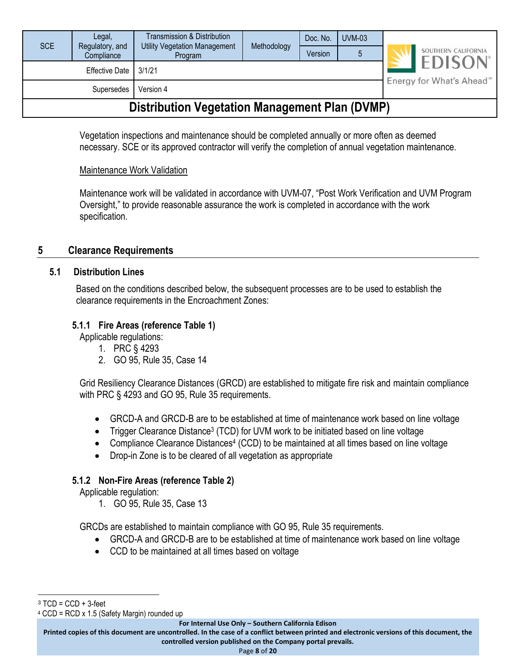| SCE                                                   | Legal,<br>Regulatory, and<br>Compliance | Transmission & Distribution<br><b>Utility Vegetation Management</b><br>Program | Methodology | Doc. No.<br>Version | <b>UVM-03</b> |  | SOUTHERN CALIFORNIA                  |  |
|-------------------------------------------------------|-----------------------------------------|--------------------------------------------------------------------------------|-------------|---------------------|---------------|--|--------------------------------------|--|
|                                                       | <b>Effective Date</b>                   | 3/1/21                                                                         |             |                     |               |  | <b>EDISON</b> <sup>®</sup>           |  |
|                                                       | Supersedes                              | Version 4                                                                      |             |                     |               |  | Energy for What's Ahead <sup>™</sup> |  |
| <b>Distribution Vegetation Management Plan (DVMP)</b> |                                         |                                                                                |             |                     |               |  |                                      |  |

Vegetation inspections and maintenance should be completed annually or more often as deemed necessary. SCE or its approved contractor will verify the completion of annual vegetation maintenance.

#### Maintenance Work Validation

Maintenance work will be validated in accordance with UVM-07, "Post Work Verification and UVM Program Oversight," to provide reasonable assurance the work is completed in accordance with the work specification.

#### <span id="page-7-1"></span><span id="page-7-0"></span>**5 Clearance Requirements**

#### **5.1 Distribution Lines**

Based on the conditions described below, the subsequent processes are to be used to establish the clearance requirements in the Encroachment Zones:

#### <span id="page-7-2"></span>**5.1.1 Fire Areas (reference Table 1)**

Applicable regulations:

- 1. PRC § 4293
- 2. GO 95, Rule 35, Case 14

Grid Resiliency Clearance Distances (GRCD) are established to mitigate fire risk and maintain compliance with PRC § 4293 and GO 95, Rule 35 requirements.

- GRCD-A and GRCD-B are to be established at time of maintenance work based on line voltage
- Trigger Clearance Distance<sup>3</sup> (TCD) for UVM work to be initiated based on line voltage
- Compliance Clearance Distances<sup>4</sup> (CCD) to be maintained at all times based on line voltage
- Drop-in Zone is to be cleared of all vegetation as appropriate

#### <span id="page-7-3"></span>**5.1.2 Non-Fire Areas (reference Table 2)**

Applicable regulation:

1. GO 95, Rule 35, Case 13

GRCDs are established to maintain compliance with GO 95, Rule 35 requirements.

- GRCD-A and GRCD-B are to be established at time of maintenance work based on line voltage
- CCD to be maintained at all times based on voltage

 $3$  TCD = CCD + 3-feet

<sup>4</sup> CCD = RCD x 1.5 (Safety Margin) rounded up

**For Internal Use Only – Southern California Edison**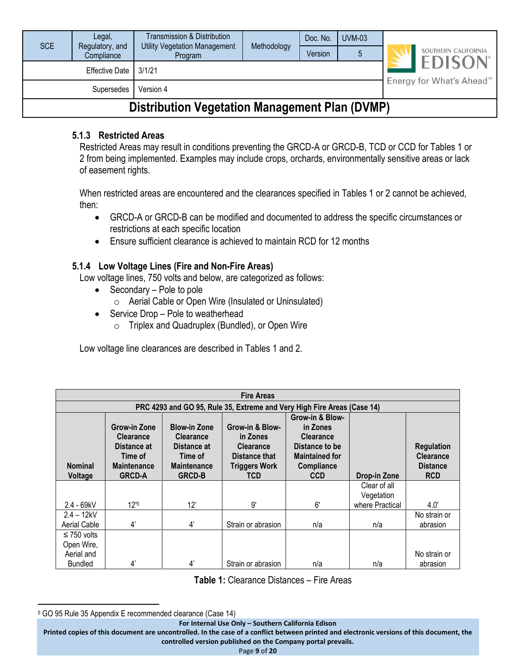| <b>SCE</b>                                     | Legal,<br>Regulatory, and | Transmission & Distribution<br>Utility Vegetation Management | Methodology | Doc. No. | $UVM-03$ |  | SOUTHERN CALIFORNIA                   |  |  |
|------------------------------------------------|---------------------------|--------------------------------------------------------------|-------------|----------|----------|--|---------------------------------------|--|--|
|                                                | Compliance                | Program                                                      |             | Version  |          |  |                                       |  |  |
|                                                | <b>Effective Date</b>     | 3/1/21                                                       |             |          |          |  | <b>EDISON</b> <sup>®</sup>            |  |  |
|                                                | Supersedes                | Version 4                                                    |             |          |          |  | Energy for What's Ahead <sup>®®</sup> |  |  |
| Dietribution Vegetation Management Dlan (DVMD) |                           |                                                              |             |          |          |  |                                       |  |  |

### **Distribution Vegetation Management Plan (DVMP)**

#### <span id="page-8-0"></span>**5.1.3 Restricted Areas**

Restricted Areas may result in conditions preventing the GRCD-A or GRCD-B, TCD or CCD for Tables 1 or 2 from being implemented. Examples may include crops, orchards, environmentally sensitive areas or lack of easement rights.

When restricted areas are encountered and the clearances specified in Tables 1 or 2 cannot be achieved, then:

- GRCD-A or GRCD-B can be modified and documented to address the specific circumstances or restrictions at each specific location
- Ensure sufficient clearance is achieved to maintain RCD for 12 months

#### <span id="page-8-1"></span>**5.1.4 Low Voltage Lines (Fire and Non-Fire Areas)**

Low voltage lines, 750 volts and below, are categorized as follows:

- Secondary Pole to pole
	- o Aerial Cable or Open Wire (Insulated or Uninsulated)
- Service Drop Pole to weatherhead
	- o Triplex and Quadruplex (Bundled), or Open Wire

Low voltage line clearances are described in Tables 1 and 2.

|                                | <b>Fire Areas</b>                                                                                                                                                                                                                                                                                                                                                                                                                          |             |                                                                         |     |                            |                                                                        |  |  |  |  |  |
|--------------------------------|--------------------------------------------------------------------------------------------------------------------------------------------------------------------------------------------------------------------------------------------------------------------------------------------------------------------------------------------------------------------------------------------------------------------------------------------|-------------|-------------------------------------------------------------------------|-----|----------------------------|------------------------------------------------------------------------|--|--|--|--|--|
|                                |                                                                                                                                                                                                                                                                                                                                                                                                                                            |             | PRC 4293 and GO 95, Rule 35, Extreme and Very High Fire Areas (Case 14) |     |                            |                                                                        |  |  |  |  |  |
| <b>Nominal</b><br>Voltage      | Grow-in & Blow-<br>Grow-in Zone<br><b>Blow-in Zone</b><br>Grow-in & Blow-<br>in Zones<br><b>Clearance</b><br><b>Clearance</b><br><b>Clearance</b><br>in Zones<br>Distance to be<br>Distance at<br>Distance at<br><b>Clearance</b><br><b>Maintained for</b><br>Time of<br>Distance that<br>Time of<br><b>Maintenance</b><br><b>Triggers Work</b><br><b>Maintenance</b><br>Compliance<br><b>GRCD-A</b><br><b>GRCD-B</b><br>TCD<br><b>CCD</b> |             |                                                                         |     | Drop-in Zone               | <b>Regulation</b><br><b>Clearance</b><br><b>Distance</b><br><b>RCD</b> |  |  |  |  |  |
|                                |                                                                                                                                                                                                                                                                                                                                                                                                                                            |             |                                                                         |     | Clear of all<br>Vegetation |                                                                        |  |  |  |  |  |
| $2.4 - 69kV$                   | 12 <sup>5</sup>                                                                                                                                                                                                                                                                                                                                                                                                                            | 12'         | 9'                                                                      | 6'  | where Practical            | 4.0'                                                                   |  |  |  |  |  |
| $2.4 - 12kV$<br>Aerial Cable   | 4'                                                                                                                                                                                                                                                                                                                                                                                                                                         | 4'          | Strain or abrasion                                                      | n/a | n/a                        | No strain or<br>abrasion                                               |  |  |  |  |  |
| $\leq$ 750 volts<br>Open Wire, |                                                                                                                                                                                                                                                                                                                                                                                                                                            |             |                                                                         |     |                            |                                                                        |  |  |  |  |  |
| Aerial and<br><b>Bundled</b>   | 4'                                                                                                                                                                                                                                                                                                                                                                                                                                         | $4^{\circ}$ | Strain or abrasion                                                      | n/a | n/a                        | No strain or<br>abrasion                                               |  |  |  |  |  |

**Table 1:** Clearance Distances – Fire Areas

<sup>5</sup> GO 95 Rule 35 Appendix E recommended clearance (Case 14)

**For Internal Use Only – Southern California Edison**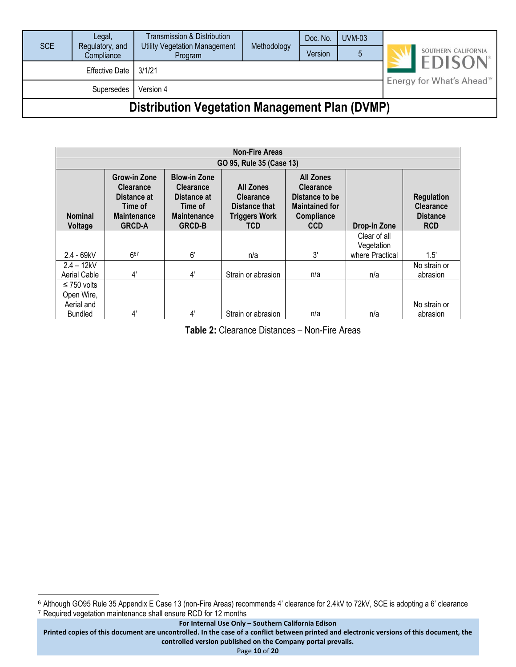| <b>SCE</b>                                            | Legal,<br>Regulatory, and<br>Compliance | Transmission & Distribution<br>Utility Vegetation Management<br>Program | Methodology | Doc. No. | <b>UVM-03</b> |  | SOUTHERN CALIFORNIA<br><b>EDISON</b> <sup>®</sup> |  |
|-------------------------------------------------------|-----------------------------------------|-------------------------------------------------------------------------|-------------|----------|---------------|--|---------------------------------------------------|--|
|                                                       |                                         |                                                                         |             | Version  |               |  |                                                   |  |
|                                                       | Effective Date                          | 3/1/21                                                                  |             |          |               |  | Energy for What's Ahead <sup>5M</sup>             |  |
| Version 4<br>Supersedes                               |                                         |                                                                         |             |          |               |  |                                                   |  |
| <b>Distribution Vegetation Management Plan (DVMP)</b> |                                         |                                                                         |             |          |               |  |                                                   |  |

|                           | <b>Non-Fire Areas</b>                                                                             |                                                                                                          |                                                                                      |                                                                                                             |                            |                                                                        |  |  |
|---------------------------|---------------------------------------------------------------------------------------------------|----------------------------------------------------------------------------------------------------------|--------------------------------------------------------------------------------------|-------------------------------------------------------------------------------------------------------------|----------------------------|------------------------------------------------------------------------|--|--|
|                           | GO 95, Rule 35 (Case 13)                                                                          |                                                                                                          |                                                                                      |                                                                                                             |                            |                                                                        |  |  |
| <b>Nominal</b><br>Voltage | Grow-in Zone<br><b>Clearance</b><br>Distance at<br>Time of<br><b>Maintenance</b><br><b>GRCD-A</b> | <b>Blow-in Zone</b><br><b>Clearance</b><br>Distance at<br>Time of<br><b>Maintenance</b><br><b>GRCD-B</b> | <b>All Zones</b><br><b>Clearance</b><br>Distance that<br><b>Triggers Work</b><br>TCD | <b>All Zones</b><br><b>Clearance</b><br>Distance to be<br><b>Maintained for</b><br>Compliance<br><b>CCD</b> | Drop-in Zone               | <b>Regulation</b><br><b>Clearance</b><br><b>Distance</b><br><b>RCD</b> |  |  |
|                           |                                                                                                   |                                                                                                          |                                                                                      |                                                                                                             | Clear of all<br>Vegetation |                                                                        |  |  |
| $2.4 - 69kV$              | 667                                                                                               | 6'                                                                                                       | n/a                                                                                  | 3'                                                                                                          | where Practical            | 1.5'                                                                   |  |  |
| $2.4 - 12kV$              |                                                                                                   |                                                                                                          |                                                                                      |                                                                                                             |                            | No strain or                                                           |  |  |
| Aerial Cable              | 4'                                                                                                | 4'                                                                                                       | Strain or abrasion                                                                   | n/a                                                                                                         | n/a                        | abrasion                                                               |  |  |
| $\leq$ 750 volts          |                                                                                                   |                                                                                                          |                                                                                      |                                                                                                             |                            |                                                                        |  |  |
| Open Wire,                |                                                                                                   |                                                                                                          |                                                                                      |                                                                                                             |                            |                                                                        |  |  |
| Aerial and                |                                                                                                   |                                                                                                          |                                                                                      |                                                                                                             |                            | No strain or                                                           |  |  |
| <b>Bundled</b>            | 4'                                                                                                | 4'                                                                                                       | Strain or abrasion                                                                   | n/a                                                                                                         | n/a                        | abrasion                                                               |  |  |

**Table 2:** Clearance Distances – Non-Fire Areas

<sup>6</sup> Although GO95 Rule 35 Appendix E Case 13 (non-Fire Areas) recommends 4' clearance for 2.4kV to 72kV, SCE is adopting a 6' clearance <sup>7</sup> Required vegetation maintenance shall ensure RCD for 12 months

**For Internal Use Only – Southern California Edison**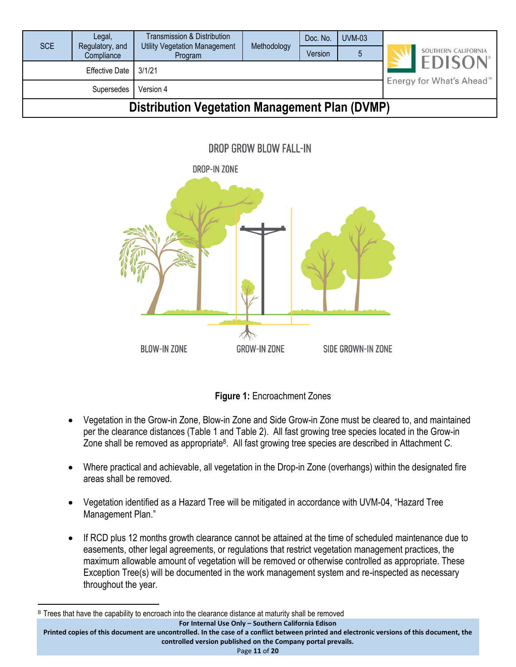| <b>SCE</b>                                            | Legal,<br>Regulatory, and | <b>Transmission &amp; Distribution</b><br><b>Utility Vegetation Management</b> | Methodology | Doc. No. | $UVM-03$                             |                     |
|-------------------------------------------------------|---------------------------|--------------------------------------------------------------------------------|-------------|----------|--------------------------------------|---------------------|
|                                                       | Compliance                | Program                                                                        |             | Version  |                                      | SOUTHERN CALIFORNIA |
| Effective Date<br>3/1/21                              |                           |                                                                                |             |          | <b>EDISON</b>                        |                     |
| Version 4<br>Supersedes                               |                           |                                                                                |             |          | Energy for What's Ahead <sup>™</sup> |                     |
| <b>Distribution Vegetation Management Plan (DVMP)</b> |                           |                                                                                |             |          |                                      |                     |

DROP GROW BLOW FALL-IN





- Vegetation in the Grow-in Zone, Blow-in Zone and Side Grow-in Zone must be cleared to, and maintained per the clearance distances (Table 1 and Table 2). All fast growing tree species located in the Grow-in Zone shall be removed as appropriate<sup>8</sup>. All fast growing tree species are described in Attachment C.
- Where practical and achievable, all vegetation in the Drop-in Zone (overhangs) within the designated fire areas shall be removed.
- Vegetation identified as a Hazard Tree will be mitigated in accordance with UVM-04, "Hazard Tree Management Plan."
- If RCD plus 12 months growth clearance cannot be attained at the time of scheduled maintenance due to easements, other legal agreements, or regulations that restrict vegetation management practices, the maximum allowable amount of vegetation will be removed or otherwise controlled as appropriate. These Exception Tree(s) will be documented in the work management system and re-inspected as necessary throughout the year.

**controlled version published on the Company portal prevails.**

Page **11** of **20**

**For Internal Use Only – Southern California Edison Printed copies of this document are uncontrolled. In the case of a conflict between printed and electronic versions of this document, the**  <sup>8</sup> Trees that have the capability to encroach into the clearance distance at maturity shall be removed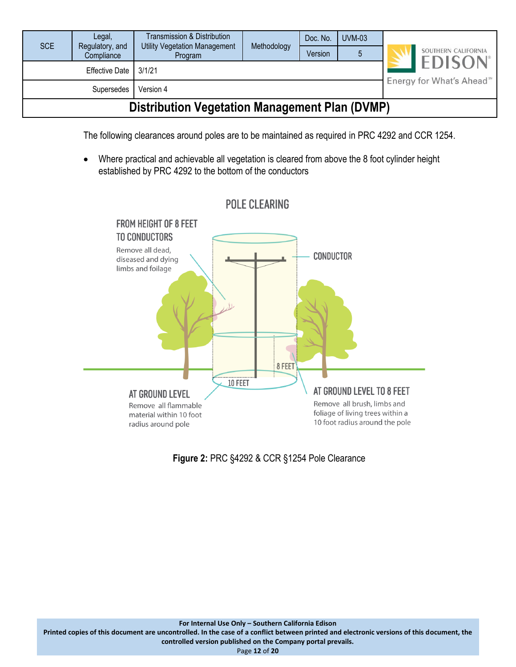| <b>SCE</b>                                            | Legal,<br>Regulatory, and | <b>Transmission &amp; Distribution</b><br><b>Utility Vegetation Management</b> | Methodology |         | <b>UVM-03</b>                        | SOUTHERN CALIFORNIA |
|-------------------------------------------------------|---------------------------|--------------------------------------------------------------------------------|-------------|---------|--------------------------------------|---------------------|
|                                                       | Compliance                | Program                                                                        |             | Version |                                      |                     |
| 3/1/21<br><b>Effective Date</b>                       |                           |                                                                                |             |         | <b>EDISON</b>                        |                     |
| Version 4<br>Supersedes                               |                           |                                                                                |             |         | Energy for What's Ahead <sup>™</sup> |                     |
| <b>Distribution Vegetation Management Plan (DVMP)</b> |                           |                                                                                |             |         |                                      |                     |

The following clearances around poles are to be maintained as required in PRC 4292 and CCR 1254.

• Where practical and achievable all vegetation is cleared from above the 8 foot cylinder height established by PRC 4292 to the bottom of the conductors



**Figure 2:** PRC §4292 & CCR §1254 Pole Clearance

Page **12** of **20**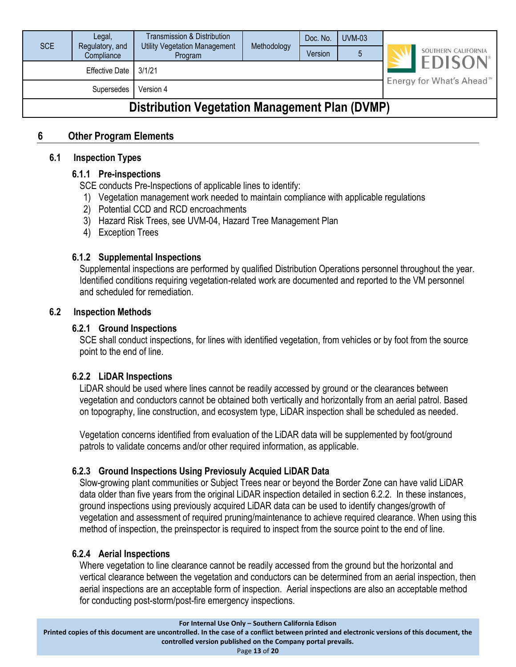| <b>SCE</b>                                            | Legal,<br>Regulatory, and<br>Compliance | Transmission & Distribution<br><b>Utility Vegetation Management</b><br>Program | Methodology | Doc. No.<br>Version | $UVM-03$ |                            | SOUTHERN CALIFORNIA                   |  |
|-------------------------------------------------------|-----------------------------------------|--------------------------------------------------------------------------------|-------------|---------------------|----------|----------------------------|---------------------------------------|--|
| <b>Effective Date</b><br>3/1/21                       |                                         |                                                                                |             |                     |          | <b>EDISON</b> <sup>®</sup> |                                       |  |
| Version 4<br>Supersedes                               |                                         |                                                                                |             |                     |          |                            | Energy for What's Ahead <sup>5M</sup> |  |
| <b>Distribution Vegetation Management Plan (DVMP)</b> |                                         |                                                                                |             |                     |          |                            |                                       |  |

#### <span id="page-12-1"></span><span id="page-12-0"></span>**6 Other Program Elements**

#### <span id="page-12-2"></span>**6.1 Inspection Types**

#### **6.1.1 Pre-inspections**

SCE conducts Pre-Inspections of applicable lines to identify:

- 1) Vegetation management work needed to maintain compliance with applicable regulations
- 2) Potential CCD and RCD encroachments
- 3) Hazard Risk Trees, see UVM-04, Hazard Tree Management Plan
- 4) Exception Trees

#### <span id="page-12-3"></span>**6.1.2 Supplemental Inspections**

Supplemental inspections are performed by qualified Distribution Operations personnel throughout the year. Identified conditions requiring vegetation-related work are documented and reported to the VM personnel and scheduled for remediation.

#### <span id="page-12-5"></span><span id="page-12-4"></span>**6.2 Inspection Methods**

#### **6.2.1 Ground Inspections**

SCE shall conduct inspections, for lines with identified vegetation, from vehicles or by foot from the source point to the end of line.

#### <span id="page-12-6"></span>**6.2.2 LiDAR Inspections**

LiDAR should be used where lines cannot be readily accessed by ground or the clearances between vegetation and conductors cannot be obtained both vertically and horizontally from an aerial patrol. Based on topography, line construction, and ecosystem type, LiDAR inspection shall be scheduled as needed.

Vegetation concerns identified from evaluation of the LiDAR data will be supplemented by foot/ground patrols to validate concerns and/or other required information, as applicable.

#### <span id="page-12-7"></span>**6.2.3 Ground Inspections Using Previosuly Acquied LiDAR Data**

Slow-growing plant communities or Subject Trees near or beyond the Border Zone can have valid LiDAR data older than five years from the original LiDAR inspection detailed in section 6.2.2. In these instances, ground inspections using previously acquired LiDAR data can be used to identify changes/growth of vegetation and assessment of required pruning/maintenance to achieve required clearance. When using this method of inspection, the preinspector is required to inspect from the source point to the end of line.

#### <span id="page-12-8"></span>**6.2.4 Aerial Inspections**

Where vegetation to line clearance cannot be readily accessed from the ground but the horizontal and vertical clearance between the vegetation and conductors can be determined from an aerial inspection, then aerial inspections are an acceptable form of inspection. Aerial inspections are also an acceptable method for conducting post-storm/post-fire emergency inspections.

**For Internal Use Only – Southern California Edison**

**Printed copies of this document are uncontrolled. In the case of a conflict between printed and electronic versions of this document, the controlled version published on the Company portal prevails.**

Page **13** of **20**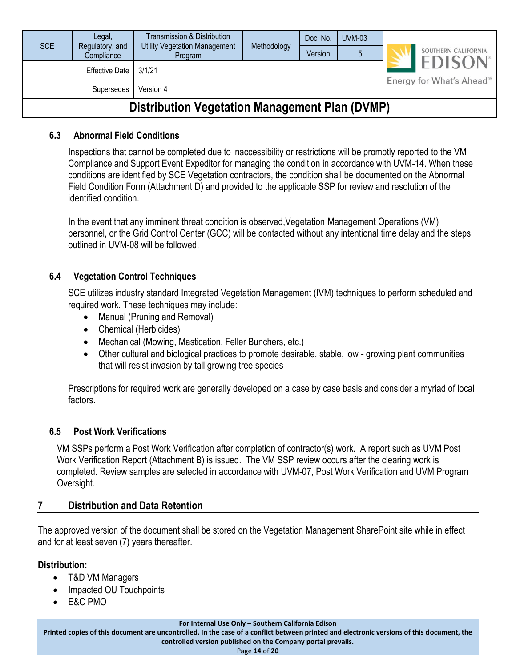| <b>SCE</b>                                     | Legal,                        | Transmission & Distribution<br>Utility Vegetation Management |             | Doc. No. | $UVM-03$ |                                       |                                                   |
|------------------------------------------------|-------------------------------|--------------------------------------------------------------|-------------|----------|----------|---------------------------------------|---------------------------------------------------|
|                                                | Regulatory, and<br>Compliance | Program                                                      | Methodology | Version  |          |                                       | SOUTHERN CALIFORNIA<br><b>EDISON</b> <sup>®</sup> |
| 3/1/21<br>Effective Date                       |                               |                                                              |             |          |          | Energy for What's Ahead <sup>5™</sup> |                                                   |
| Version 4<br>Supersedes                        |                               |                                                              |             |          |          |                                       |                                                   |
| Distribution Vegetation Management Plan (DVMP) |                               |                                                              |             |          |          |                                       |                                                   |

#### **Distribution Vegetation Management Plan (DVMP)**

#### <span id="page-13-0"></span>**6.3 Abnormal Field Conditions**

Inspections that cannot be completed due to inaccessibility or restrictions will be promptly reported to the VM Compliance and Support Event Expeditor for managing the condition in accordance with UVM-14. When these conditions are identified by SCE Vegetation contractors, the condition shall be documented on the Abnormal Field Condition Form (Attachment D) and provided to the applicable SSP for review and resolution of the identified condition.

In the event that any imminent threat condition is observed,Vegetation Management Operations (VM) personnel, or the Grid Control Center (GCC) will be contacted without any intentional time delay and the steps outlined in UVM-08 will be followed.

#### <span id="page-13-1"></span>**6.4 Vegetation Control Techniques**

SCE utilizes industry standard Integrated Vegetation Management (IVM) techniques to perform scheduled and required work. These techniques may include:

- Manual (Pruning and Removal)
- Chemical (Herbicides)
- Mechanical (Mowing, Mastication, Feller Bunchers, etc.)
- Other cultural and biological practices to promote desirable, stable, low growing plant communities that will resist invasion by tall growing tree species

Prescriptions for required work are generally developed on a case by case basis and consider a myriad of local factors.

#### <span id="page-13-2"></span>**6.5 Post Work Verifications**

VM SSPs perform a Post Work Verification after completion of contractor(s) work. A report such as UVM Post Work Verification Report (Attachment B) is issued. The VM SSP review occurs after the clearing work is completed. Review samples are selected in accordance with UVM-07, Post Work Verification and UVM Program Oversight.

#### <span id="page-13-3"></span>**7 Distribution and Data Retention**

The approved version of the document shall be stored on the Vegetation Management SharePoint site while in effect and for at least seven (7) years thereafter.

#### **Distribution:**

- T&D VM Managers
- Impacted OU Touchpoints
- E&C PMO

**For Internal Use Only – Southern California Edison**

**Printed copies of this document are uncontrolled. In the case of a conflict between printed and electronic versions of this document, the**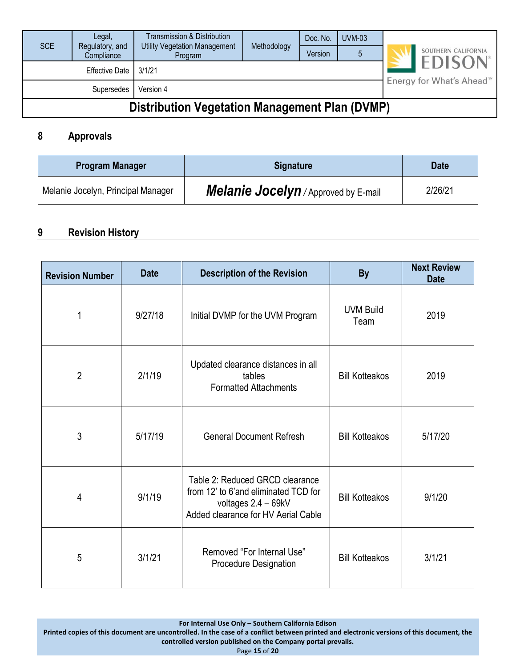| <b>SCE</b>                                            | Legal,     | Transmission & Distribution<br><b>Utility Vegetation Management</b><br>Regulatory, and |             | Doc. No. | UVM-03 |                                       |                                      |  |
|-------------------------------------------------------|------------|----------------------------------------------------------------------------------------|-------------|----------|--------|---------------------------------------|--------------------------------------|--|
|                                                       | Compliance | Program                                                                                | Methodology |          | 5      |                                       | SOUTHERN CALIFORNIA<br><b>EDISON</b> |  |
| <b>Effective Date</b><br>3/1/21                       |            |                                                                                        |             |          |        | Energy for What's Ahead <sup>5M</sup> |                                      |  |
| Version 4<br>Supersedes                               |            |                                                                                        |             |          |        |                                       |                                      |  |
| <b>Distribution Vegetation Management Plan (DVMP)</b> |            |                                                                                        |             |          |        |                                       |                                      |  |

#### <span id="page-14-0"></span>**8 Approvals**

| <b>Program Manager</b>             | <b>Signature</b>                     | <b>Date</b> |
|------------------------------------|--------------------------------------|-------------|
| Melanie Jocelyn, Principal Manager | Melanie Jocelyn / Approved by E-mail | 2/26/21     |

#### <span id="page-14-1"></span>**9 Revision History**

| <b>Revision Number</b> | <b>Date</b> | <b>Description of the Revision</b>                                                                                                    | <b>By</b>                | <b>Next Review</b><br><b>Date</b> |
|------------------------|-------------|---------------------------------------------------------------------------------------------------------------------------------------|--------------------------|-----------------------------------|
| 1                      | 9/27/18     | Initial DVMP for the UVM Program                                                                                                      | <b>UVM Build</b><br>Team | 2019                              |
| $\overline{2}$         | 2/1/19      | Updated clearance distances in all<br>tables<br><b>Formatted Attachments</b>                                                          | <b>Bill Kotteakos</b>    | 2019                              |
| 3                      | 5/17/19     | <b>General Document Refresh</b>                                                                                                       | <b>Bill Kotteakos</b>    | 5/17/20                           |
| 4                      | 9/1/19      | Table 2: Reduced GRCD clearance<br>from 12' to 6'and eliminated TCD for<br>voltages 2.4 - 69kV<br>Added clearance for HV Aerial Cable | <b>Bill Kotteakos</b>    | 9/1/20                            |
| 5                      | 3/1/21      | Removed "For Internal Use"<br><b>Procedure Designation</b>                                                                            | <b>Bill Kotteakos</b>    | 3/1/21                            |

**For Internal Use Only – Southern California Edison**

**Printed copies of this document are uncontrolled. In the case of a conflict between printed and electronic versions of this document, the controlled version published on the Company portal prevails.**

Page **15** of **20**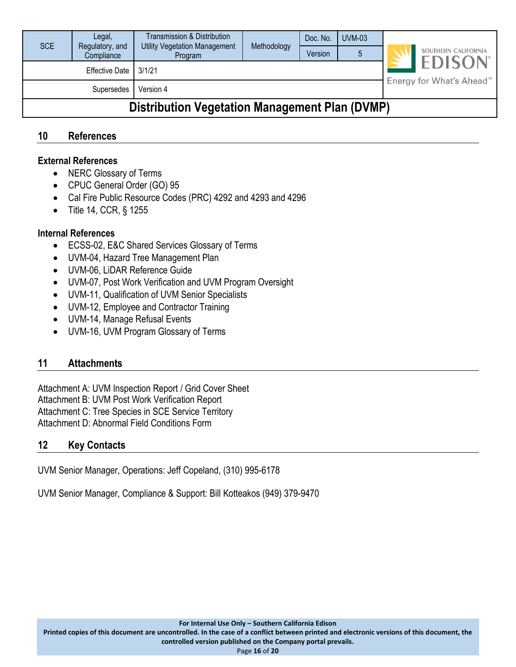| <b>SCE</b>                                            | Legal,<br>Regulatory, and<br>Compliance | <b>Transmission &amp; Distribution</b><br><b>Utility Vegetation Management</b><br>Program | Methodology                                                        | Doc. No.<br>Version | <b>UVM-03</b><br>5 |  | SOUTHERN CALIFORNIA |
|-------------------------------------------------------|-----------------------------------------|-------------------------------------------------------------------------------------------|--------------------------------------------------------------------|---------------------|--------------------|--|---------------------|
|                                                       | <b>Effective Date</b>                   | 3/1/21                                                                                    | <b>EDISON</b> <sup>®</sup><br>Energy for What's Ahead <sup>™</sup> |                     |                    |  |                     |
|                                                       | Supersedes                              | Version 4                                                                                 |                                                                    |                     |                    |  |                     |
| <b>Distribution Vegetation Management Plan (DVMP)</b> |                                         |                                                                                           |                                                                    |                     |                    |  |                     |

#### <span id="page-15-0"></span>**10 References**

#### **External References**

- NERC Glossary of Terms
- CPUC General Order (GO) 95
- Cal Fire Public Resource Codes (PRC) 4292 and 4293 and 4296
- Title 14, CCR, § 1255

#### **Internal References**

- ECSS-02, E&C Shared Services Glossary of Terms
- UVM-04, Hazard Tree Management Plan
- UVM-06, LiDAR Reference Guide
- UVM-07, Post Work Verification and UVM Program Oversight
- UVM-11, Qualification of UVM Senior Specialists
- UVM-12, Employee and Contractor Training
- UVM-14, Manage Refusal Events
- UVM-16, UVM Program Glossary of Terms

#### <span id="page-15-1"></span>**11 Attachments**

Attachment A: UVM Inspection Report / Grid Cover Sheet Attachment B: UVM Post Work Verification Report Attachment C: Tree Species in SCE Service Territory Attachment D: Abnormal Field Conditions Form

#### <span id="page-15-2"></span>**12 Key Contacts**

UVM Senior Manager, Operations: Jeff Copeland, (310) 995-6178

UVM Senior Manager, Compliance & Support: Bill Kotteakos (949) 379-9470

**Printed copies of this document are uncontrolled. In the case of a conflict between printed and electronic versions of this document, the**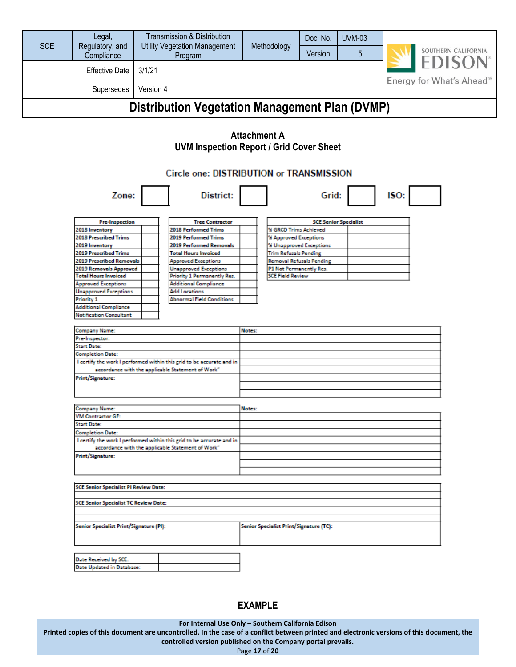| <b>SCE</b>                                            | Legal,<br>Regulatory, and<br>Compliance | Transmission & Distribution<br><b>Utility Vegetation Management</b><br>Program | Methodology | Doc. No.<br>Version | <b>UVM-03</b> |                                                                     | SOUTHERN CALIFORNIA |  |
|-------------------------------------------------------|-----------------------------------------|--------------------------------------------------------------------------------|-------------|---------------------|---------------|---------------------------------------------------------------------|---------------------|--|
| <b>Effective Date</b><br>3/1/21                       |                                         |                                                                                |             |                     |               | <b>EDISON</b> <sup>®</sup><br>Energy for What's Ahead <sup>5M</sup> |                     |  |
| Version 4<br>Supersedes                               |                                         |                                                                                |             |                     |               |                                                                     |                     |  |
| <b>Distribution Vegetation Management Plan (DVMP)</b> |                                         |                                                                                |             |                     |               |                                                                     |                     |  |

#### **Attachment A UVM Inspection Report / Grid Cover Sheet**

#### Circle one: DISTRIBUTION or TRANSMISSION

| Zone:                                                                                                                      | District:                                                             |        | Grid:                                   | ISO: |  |
|----------------------------------------------------------------------------------------------------------------------------|-----------------------------------------------------------------------|--------|-----------------------------------------|------|--|
| <b>Pre-Inspection</b>                                                                                                      | <b>Tree Contractor</b>                                                |        | <b>SCE Senior Specialist</b>            |      |  |
| 2018 Inventory                                                                                                             | <b>2018 Performed Trims</b>                                           |        | % GRCD Trims Achieved                   |      |  |
| <b>2018 Prescribed Trims</b>                                                                                               | 2019 Performed Trims                                                  |        | % Approved Exceptions                   |      |  |
| 2019 Inventory                                                                                                             | 2019 Performed Removals                                               |        | % Unapproved Exceptions                 |      |  |
| <b>2019 Prescribed Trims</b>                                                                                               | <b>Total Hours Invoiced</b>                                           |        | <b>Trim Refusals Pending</b>            |      |  |
| <b>2019 Prescribed Removals</b>                                                                                            | <b>Approved Exceptions</b>                                            |        | <b>Removal Refusals Pending</b>         |      |  |
| 2019 Removals Approved                                                                                                     | <b>Unapproved Exceptions</b>                                          |        | P1 Not Permanently Res.                 |      |  |
| <b>Total Hours Invoiced</b>                                                                                                | Priority 1 Permanently Res.                                           |        | <b>SCE Field Review</b>                 |      |  |
| <b>Approved Exceptions</b>                                                                                                 | <b>Additional Compliance</b>                                          |        |                                         |      |  |
| <b>Unapproved Exceptions</b>                                                                                               | <b>Add Locations</b>                                                  |        |                                         |      |  |
| <b>Priority 1</b>                                                                                                          | <b>Abnormal Field Conditions</b>                                      |        |                                         |      |  |
| <b>Additional Compliance</b>                                                                                               |                                                                       |        |                                         |      |  |
| <b>Notification Consultant</b>                                                                                             |                                                                       |        |                                         |      |  |
| <b>Company Name:</b>                                                                                                       |                                                                       | Notes: |                                         |      |  |
| Pre-Inspector:                                                                                                             |                                                                       |        |                                         |      |  |
| <b>Start Date:</b>                                                                                                         |                                                                       |        |                                         |      |  |
| <b>Completion Date:</b>                                                                                                    |                                                                       |        |                                         |      |  |
| I certify the work I performed within this grid to be accurate and in<br>accordance with the applicable Statement of Work" |                                                                       |        |                                         |      |  |
| <b>Print/Signature:</b>                                                                                                    |                                                                       |        |                                         |      |  |
| <b>Company Name:</b>                                                                                                       |                                                                       | Notes: |                                         |      |  |
| <b>VM Contractor GF:</b>                                                                                                   |                                                                       |        |                                         |      |  |
| <b>Start Date:</b>                                                                                                         |                                                                       |        |                                         |      |  |
| <b>Completion Date:</b>                                                                                                    |                                                                       |        |                                         |      |  |
|                                                                                                                            | I certify the work I performed within this grid to be accurate and in |        |                                         |      |  |
|                                                                                                                            | accordance with the applicable Statement of Work"                     |        |                                         |      |  |
| <b>Print/Signature:</b>                                                                                                    |                                                                       |        |                                         |      |  |
|                                                                                                                            |                                                                       |        |                                         |      |  |
|                                                                                                                            |                                                                       |        |                                         |      |  |
| <b>SCE Senior Specialist PI Review Date:</b>                                                                               |                                                                       |        |                                         |      |  |
| <b>SCE Senior Specialist TC Review Date:</b>                                                                               |                                                                       |        |                                         |      |  |
|                                                                                                                            |                                                                       |        |                                         |      |  |
| Senior Specialist Print/Signature (PI):                                                                                    |                                                                       |        | Senior Specialist Print/Signature (TC): |      |  |
|                                                                                                                            |                                                                       |        |                                         |      |  |
|                                                                                                                            |                                                                       |        |                                         |      |  |

| Date Received by SCE:     |  |
|---------------------------|--|
| Date Undated in Database: |  |

#### **EXAMPLE**

**For Internal Use Only – Southern California Edison**

**Printed copies of this document are uncontrolled. In the case of a conflict between printed and electronic versions of this document, the**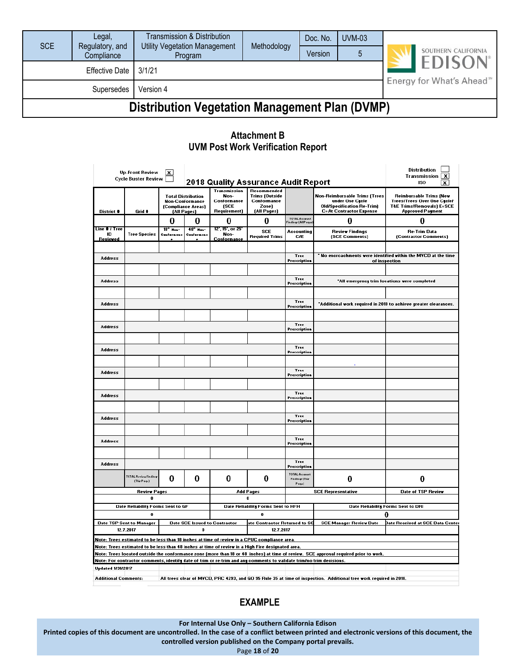| <b>SCE</b>                                            | Legal,<br>Regulatory, and | Transmission & Distribution<br><b>Utility Vegetation Management</b> | Methodology | Doc. No. | <b>UVM-03</b> |                                       |                                                   |  |
|-------------------------------------------------------|---------------------------|---------------------------------------------------------------------|-------------|----------|---------------|---------------------------------------|---------------------------------------------------|--|
|                                                       | Compliance                | Program                                                             |             | Version  |               |                                       | SOUTHERN CALIFORNIA<br><b>EDISON</b> <sup>®</sup> |  |
| <b>Effective Date</b><br>3/1/21                       |                           |                                                                     |             |          |               | Energy for What's Ahead <sup>5™</sup> |                                                   |  |
| Version 4<br>Supersedes                               |                           |                                                                     |             |          |               |                                       |                                                   |  |
| <b>Distribution Vegetation Management Plan (DVMP)</b> |                           |                                                                     |             |          |               |                                       |                                                   |  |

#### **Attachment B UVM Post Work Verification Report**

|                                                                                              | Up-Front Review<br>Cycle Buster Review                                                                                                            | $\mathbf{x}$                                  |                                                                                          |                                                                     | 2018 Quality Assurance Audit Report                                                                                                                                                               |                                           |                                                                                                                                      | Distribution<br>Transmission<br>x<br>ISO<br>x                                                                                           |  |  |
|----------------------------------------------------------------------------------------------|---------------------------------------------------------------------------------------------------------------------------------------------------|-----------------------------------------------|------------------------------------------------------------------------------------------|---------------------------------------------------------------------|---------------------------------------------------------------------------------------------------------------------------------------------------------------------------------------------------|-------------------------------------------|--------------------------------------------------------------------------------------------------------------------------------------|-----------------------------------------------------------------------------------------------------------------------------------------|--|--|
| District #                                                                                   | Grid #                                                                                                                                            |                                               | <b>Total Distribution</b><br><b>Non-Conformance</b><br>(Compliance Areas)<br>(All Pages) | Transmission<br>Non-<br>Conformance<br>(SCE<br><b>Requirement</b> ) | Recommended<br><b>Trims (Outside</b><br>Conformance<br>Zonel<br>(All Pages)                                                                                                                       |                                           | <b>Non-Reimbursable Trims (Trees</b><br>under One Cycle<br><b>Old/Specification Re-Trim)</b><br><b>C=At Contractor Expense</b>       | <b>Reimbursable Trims (New</b><br><b>Trees/Trees Over One Cycle/</b><br><b>T&amp;E Trims/Removals) E=SCE</b><br><b>Approved Payment</b> |  |  |
|                                                                                              |                                                                                                                                                   | o                                             | 0                                                                                        | 0                                                                   | o                                                                                                                                                                                                 | .<br>TOTAL Account<br>Findingr (All Paqor | o                                                                                                                                    | O                                                                                                                                       |  |  |
| Line # / Tree<br>m<br><b>Reviewed</b>                                                        | <b>Tree Species</b>                                                                                                                               | $18 -$ H <sub>nn</sub> -<br><b>Conferment</b> | $48 - 11$<br>Confermen                                                                   | 12", 15", or 25<br>Non-<br>Conformance                              | <b>SCE</b><br><b>Required Trims</b>                                                                                                                                                               | Accounting<br>C/E                         | <b>Review Findings</b><br>(SCE Comments)                                                                                             | <b>Re-Trim Data</b><br>(Contractor Comments)                                                                                            |  |  |
|                                                                                              |                                                                                                                                                   |                                               |                                                                                          |                                                                     |                                                                                                                                                                                                   |                                           |                                                                                                                                      |                                                                                                                                         |  |  |
| Address                                                                                      |                                                                                                                                                   |                                               |                                                                                          |                                                                     |                                                                                                                                                                                                   | Tree<br>Prescription                      | ' No encroachments were identified within the MYCD at the time<br>of inspection                                                      |                                                                                                                                         |  |  |
|                                                                                              |                                                                                                                                                   |                                               |                                                                                          |                                                                     |                                                                                                                                                                                                   |                                           |                                                                                                                                      |                                                                                                                                         |  |  |
| <b>Address</b>                                                                               |                                                                                                                                                   |                                               |                                                                                          |                                                                     |                                                                                                                                                                                                   | Tree<br>Prescription                      |                                                                                                                                      | "All emergency trim locations were completed                                                                                            |  |  |
|                                                                                              |                                                                                                                                                   |                                               |                                                                                          |                                                                     |                                                                                                                                                                                                   |                                           |                                                                                                                                      |                                                                                                                                         |  |  |
| <b>Address</b>                                                                               |                                                                                                                                                   |                                               |                                                                                          |                                                                     |                                                                                                                                                                                                   | Tree<br>Prescription                      |                                                                                                                                      | "Additional work required in 2018 to achieve greater clearances.                                                                        |  |  |
|                                                                                              |                                                                                                                                                   |                                               |                                                                                          |                                                                     |                                                                                                                                                                                                   |                                           |                                                                                                                                      |                                                                                                                                         |  |  |
| <b>Address</b>                                                                               |                                                                                                                                                   |                                               |                                                                                          |                                                                     |                                                                                                                                                                                                   | Tree                                      |                                                                                                                                      |                                                                                                                                         |  |  |
|                                                                                              |                                                                                                                                                   |                                               |                                                                                          |                                                                     |                                                                                                                                                                                                   | Prescription                              |                                                                                                                                      |                                                                                                                                         |  |  |
|                                                                                              |                                                                                                                                                   |                                               |                                                                                          |                                                                     |                                                                                                                                                                                                   | Tree                                      |                                                                                                                                      |                                                                                                                                         |  |  |
| <b>Address</b>                                                                               |                                                                                                                                                   |                                               |                                                                                          |                                                                     |                                                                                                                                                                                                   | Prescription                              |                                                                                                                                      |                                                                                                                                         |  |  |
|                                                                                              |                                                                                                                                                   |                                               |                                                                                          |                                                                     |                                                                                                                                                                                                   |                                           |                                                                                                                                      |                                                                                                                                         |  |  |
| <b>Address</b>                                                                               |                                                                                                                                                   |                                               |                                                                                          |                                                                     |                                                                                                                                                                                                   | Tree<br>Prescription                      |                                                                                                                                      |                                                                                                                                         |  |  |
|                                                                                              |                                                                                                                                                   |                                               |                                                                                          |                                                                     |                                                                                                                                                                                                   |                                           |                                                                                                                                      |                                                                                                                                         |  |  |
| <b>Address</b>                                                                               |                                                                                                                                                   |                                               |                                                                                          |                                                                     |                                                                                                                                                                                                   | Tree<br>Prescription                      |                                                                                                                                      |                                                                                                                                         |  |  |
|                                                                                              |                                                                                                                                                   |                                               |                                                                                          |                                                                     |                                                                                                                                                                                                   |                                           |                                                                                                                                      |                                                                                                                                         |  |  |
| <b>Address</b>                                                                               |                                                                                                                                                   |                                               |                                                                                          |                                                                     |                                                                                                                                                                                                   | Tree<br>Prescription                      |                                                                                                                                      |                                                                                                                                         |  |  |
|                                                                                              |                                                                                                                                                   |                                               |                                                                                          |                                                                     |                                                                                                                                                                                                   |                                           |                                                                                                                                      |                                                                                                                                         |  |  |
| <b>Address</b>                                                                               |                                                                                                                                                   |                                               |                                                                                          |                                                                     |                                                                                                                                                                                                   | Tree<br>Prescription                      |                                                                                                                                      |                                                                                                                                         |  |  |
|                                                                                              |                                                                                                                                                   |                                               |                                                                                          |                                                                     |                                                                                                                                                                                                   |                                           |                                                                                                                                      |                                                                                                                                         |  |  |
| <b>Address</b>                                                                               |                                                                                                                                                   |                                               |                                                                                          |                                                                     |                                                                                                                                                                                                   | Tree<br>Prescription                      |                                                                                                                                      |                                                                                                                                         |  |  |
|                                                                                              | <b>TOTAL Review Finding</b><br>(Thir Page)                                                                                                        | 0                                             | 0                                                                                        | 0                                                                   | 0                                                                                                                                                                                                 | TOTAL Account<br>Findings (This<br>Page)  | 0                                                                                                                                    | 0                                                                                                                                       |  |  |
|                                                                                              | <b>Review Pages</b>                                                                                                                               |                                               |                                                                                          |                                                                     | <b>Add Pages</b>                                                                                                                                                                                  |                                           | <b>SCE Representative</b>                                                                                                            | Date of TSP Review                                                                                                                      |  |  |
| 0                                                                                            |                                                                                                                                                   |                                               |                                                                                          |                                                                     |                                                                                                                                                                                                   |                                           | Date Reliability Forms Sent to DRI                                                                                                   |                                                                                                                                         |  |  |
| Date Reliability Forms Sent to GF<br>Date Reliability Forms Sent to HFH<br>$\mathbf{0}$<br>0 |                                                                                                                                                   |                                               |                                                                                          |                                                                     |                                                                                                                                                                                                   |                                           | o                                                                                                                                    |                                                                                                                                         |  |  |
|                                                                                              | Date TSP Sent to Manager<br>Date SCE Issued to Contractor<br>ate Contractor Returned to SC                                                        |                                               |                                                                                          |                                                                     |                                                                                                                                                                                                   |                                           | <b>SCE Manager Review Date</b>                                                                                                       | Date Received at SCE Data Center                                                                                                        |  |  |
|                                                                                              | 12.7.2017<br>n<br>12.7.2017                                                                                                                       |                                               |                                                                                          |                                                                     |                                                                                                                                                                                                   |                                           |                                                                                                                                      |                                                                                                                                         |  |  |
|                                                                                              |                                                                                                                                                   |                                               |                                                                                          |                                                                     | Note: Trees estimated to be less than 18 inches at time of review in a CPUC compliance area.<br>Note: Trees estimated to be less than 48 inches at time of review in a High Fire designated area. |                                           |                                                                                                                                      |                                                                                                                                         |  |  |
|                                                                                              |                                                                                                                                                   |                                               |                                                                                          |                                                                     |                                                                                                                                                                                                   |                                           | Note: Trees located outside the conformance zone (more than 18 or 48 inches) at time of review. SCE approval required prior to work. |                                                                                                                                         |  |  |
|                                                                                              |                                                                                                                                                   |                                               |                                                                                          |                                                                     | Note: For contractor comments, identify date of trim or re-trim and any comments to validate trimino trim decisions.                                                                              |                                           |                                                                                                                                      |                                                                                                                                         |  |  |
| <b>Updated 1/31/2017</b>                                                                     |                                                                                                                                                   |                                               |                                                                                          |                                                                     |                                                                                                                                                                                                   |                                           |                                                                                                                                      |                                                                                                                                         |  |  |
|                                                                                              | All trees clear of MVCD, PRC 4293, and GO 95 Rule 35 at time of inspection. Additional tree work required in 2018.<br><b>Additional Comments:</b> |                                               |                                                                                          |                                                                     |                                                                                                                                                                                                   |                                           |                                                                                                                                      |                                                                                                                                         |  |  |

#### **EXAMPLE**

**For Internal Use Only – Southern California Edison**

**Printed copies of this document are uncontrolled. In the case of a conflict between printed and electronic versions of this document, the**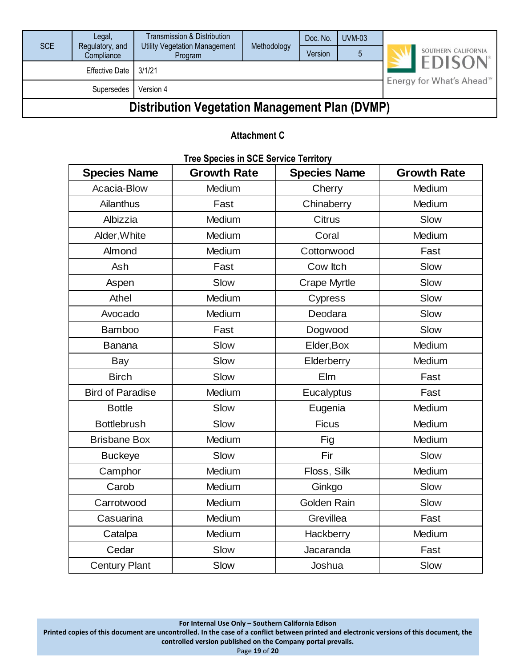| SCE                                                   | Legal,<br>Regulatory, and<br>Compliance | Transmission & Distribution<br><b>Utility Vegetation Management</b><br>Program | Methodology                | Doc. No.<br>Version                  | $UVM-03$ |  | SOUTHERN CALIFORNIA |
|-------------------------------------------------------|-----------------------------------------|--------------------------------------------------------------------------------|----------------------------|--------------------------------------|----------|--|---------------------|
|                                                       | <b>Effective Date</b>                   | 3/1/21                                                                         | <b>EDISON</b> <sup>®</sup> |                                      |          |  |                     |
|                                                       | Supersedes                              | Version 4                                                                      |                            | Energy for What's Ahead <sup>™</sup> |          |  |                     |
| <b>Distribution Vegetation Management Plan (DVMP)</b> |                                         |                                                                                |                            |                                      |          |  |                     |

#### **Attachment C**

| <b>Species Name</b>     | LICE OPENIES III OOL OELVIGE TELLIMIY<br><b>Growth Rate</b> | <b>Species Name</b> | <b>Growth Rate</b> |
|-------------------------|-------------------------------------------------------------|---------------------|--------------------|
| Acacia-Blow             | Medium                                                      | Cherry              | Medium             |
| Ailanthus               | Fast                                                        | Chinaberry          | Medium             |
| Albizzia                | Medium                                                      | <b>Citrus</b>       | Slow               |
| Alder, White            | Medium                                                      | Coral               | Medium             |
| Almond                  | Medium                                                      | Cottonwood          | Fast               |
| <b>Ash</b>              | Fast                                                        | Cow Itch            | Slow               |
| Aspen                   | Slow                                                        | <b>Crape Myrtle</b> | Slow               |
| Athel                   | Medium                                                      | Cypress             | Slow               |
| Avocado                 | Medium                                                      | Deodara             | Slow               |
| <b>Bamboo</b>           | Fast                                                        | Dogwood             | Slow               |
| <b>Banana</b>           | Slow                                                        | Elder, Box          | Medium             |
| Bay                     | Slow                                                        | Elderberry          | Medium             |
| <b>Birch</b>            | Slow                                                        | <b>Elm</b>          | Fast               |
| <b>Bird of Paradise</b> | Medium                                                      | Eucalyptus          | Fast               |
| <b>Bottle</b>           | Slow                                                        | Eugenia             | Medium             |
| <b>Bottlebrush</b>      | Slow                                                        | <b>Ficus</b>        | Medium             |
| <b>Brisbane Box</b>     | Medium                                                      | Fig                 | Medium             |
| <b>Buckeye</b>          | Slow                                                        | Fir                 | Slow               |
| Camphor                 | Medium                                                      | Floss, Silk         | Medium             |
| Carob                   | Medium                                                      | Ginkgo              | Slow               |
| Carrotwood              | Medium                                                      | Golden Rain         | Slow               |
| Casuarina               | Medium                                                      | Grevillea           | Fast               |
| Catalpa                 | Medium                                                      | Hackberry           | Medium             |
| Cedar                   | Slow                                                        | Jacaranda           | Fast               |
| <b>Century Plant</b>    | Slow                                                        | Joshua              | Slow               |

#### **Tree Species in SCE Service Territory**

**For Internal Use Only – Southern California Edison**

**Printed copies of this document are uncontrolled. In the case of a conflict between printed and electronic versions of this document, the** 

**controlled version published on the Company portal prevails.**

Page **19** of **20**